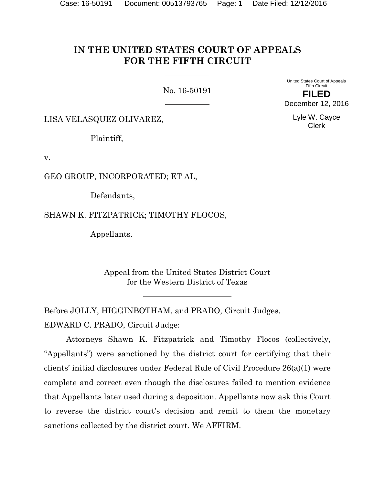# **IN THE UNITED STATES COURT OF APPEALS FOR THE FIFTH CIRCUIT**

No. 16-50191

United States Court of Appeals Fifth Circuit **FILED** December 12, 2016

LISA VELASQUEZ OLIVAREZ,

Plaintiff,

v.

GEO GROUP, INCORPORATED; ET AL,

Defendants,

SHAWN K. FITZPATRICK; TIMOTHY FLOCOS,

Appellants.

Appeal from the United States District Court for the Western District of Texas

Before JOLLY, HIGGINBOTHAM, and PRADO, Circuit Judges. EDWARD C. PRADO, Circuit Judge:

Attorneys Shawn K. Fitzpatrick and Timothy Flocos (collectively, "Appellants") were sanctioned by the district court for certifying that their clients' initial disclosures under Federal Rule of Civil Procedure 26(a)(1) were complete and correct even though the disclosures failed to mention evidence that Appellants later used during a deposition. Appellants now ask this Court to reverse the district court's decision and remit to them the monetary sanctions collected by the district court. We AFFIRM.

Lyle W. Cayce Clerk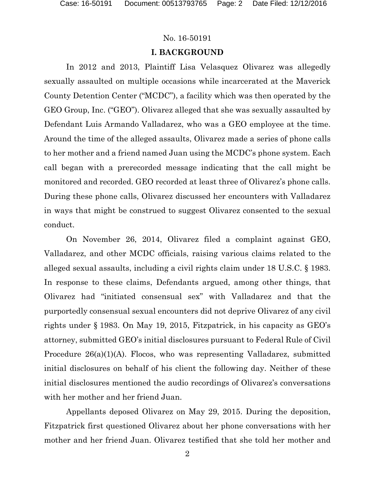### **I. BACKGROUND**

In 2012 and 2013, Plaintiff Lisa Velasquez Olivarez was allegedly sexually assaulted on multiple occasions while incarcerated at the Maverick County Detention Center ("MCDC"), a facility which was then operated by the GEO Group, Inc. ("GEO"). Olivarez alleged that she was sexually assaulted by Defendant Luis Armando Valladarez, who was a GEO employee at the time. Around the time of the alleged assaults, Olivarez made a series of phone calls to her mother and a friend named Juan using the MCDC's phone system. Each call began with a prerecorded message indicating that the call might be monitored and recorded. GEO recorded at least three of Olivarez's phone calls. During these phone calls, Olivarez discussed her encounters with Valladarez in ways that might be construed to suggest Olivarez consented to the sexual conduct.

On November 26, 2014, Olivarez filed a complaint against GEO, Valladarez, and other MCDC officials, raising various claims related to the alleged sexual assaults, including a civil rights claim under 18 U.S.C. § 1983. In response to these claims, Defendants argued, among other things, that Olivarez had "initiated consensual sex" with Valladarez and that the purportedly consensual sexual encounters did not deprive Olivarez of any civil rights under § 1983. On May 19, 2015, Fitzpatrick, in his capacity as GEO's attorney, submitted GEO's initial disclosures pursuant to Federal Rule of Civil Procedure 26(a)(1)(A). Flocos, who was representing Valladarez, submitted initial disclosures on behalf of his client the following day. Neither of these initial disclosures mentioned the audio recordings of Olivarez's conversations with her mother and her friend Juan.

Appellants deposed Olivarez on May 29, 2015. During the deposition, Fitzpatrick first questioned Olivarez about her phone conversations with her mother and her friend Juan. Olivarez testified that she told her mother and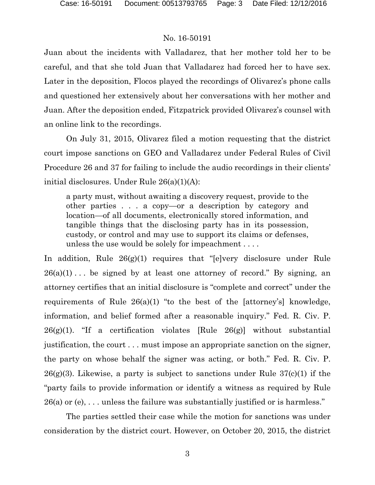Juan about the incidents with Valladarez, that her mother told her to be careful, and that she told Juan that Valladarez had forced her to have sex. Later in the deposition, Flocos played the recordings of Olivarez's phone calls and questioned her extensively about her conversations with her mother and Juan. After the deposition ended, Fitzpatrick provided Olivarez's counsel with an online link to the recordings.

On July 31, 2015, Olivarez filed a motion requesting that the district court impose sanctions on GEO and Valladarez under Federal Rules of Civil Procedure 26 and 37 for failing to include the audio recordings in their clients' initial disclosures. Under Rule 26(a)(1)(A):

a party must, without awaiting a discovery request, provide to the other parties . . . a copy—or a description by category and location—of all documents, electronically stored information, and tangible things that the disclosing party has in its possession, custody, or control and may use to support its claims or defenses, unless the use would be solely for impeachment . . . .

In addition, Rule 26(g)(1) requires that "[e]very disclosure under Rule  $26(a)(1)$ ... be signed by at least one attorney of record." By signing, an attorney certifies that an initial disclosure is "complete and correct" under the requirements of Rule  $26(a)(1)$  "to the best of the [attorney's] knowledge, information, and belief formed after a reasonable inquiry." Fed. R. Civ. P.  $26(g)(1)$ . "If a certification violates [Rule  $26(g)$ ] without substantial justification, the court . . . must impose an appropriate sanction on the signer, the party on whose behalf the signer was acting, or both." Fed. R. Civ. P.  $26(g)(3)$ . Likewise, a party is subject to sanctions under Rule  $37(c)(1)$  if the "party fails to provide information or identify a witness as required by Rule  $26(a)$  or (e), ... unless the failure was substantially justified or is harmless."

The parties settled their case while the motion for sanctions was under consideration by the district court. However, on October 20, 2015, the district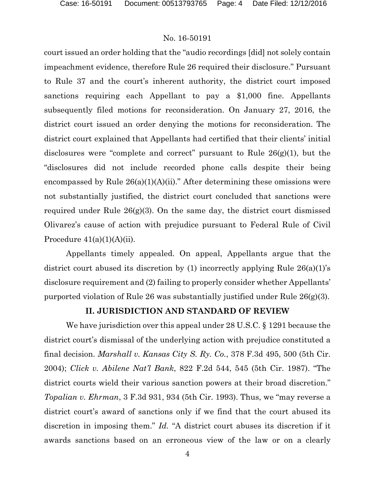court issued an order holding that the "audio recordings [did] not solely contain impeachment evidence, therefore Rule 26 required their disclosure." Pursuant to Rule 37 and the court's inherent authority, the district court imposed sanctions requiring each Appellant to pay a \$1,000 fine. Appellants subsequently filed motions for reconsideration. On January 27, 2016, the district court issued an order denying the motions for reconsideration. The district court explained that Appellants had certified that their clients' initial disclosures were "complete and correct" pursuant to Rule  $26(g)(1)$ , but the "disclosures did not include recorded phone calls despite their being encompassed by Rule  $26(a)(1)(A)(ii)$ ." After determining these omissions were not substantially justified, the district court concluded that sanctions were required under Rule 26(g)(3). On the same day, the district court dismissed Olivarez's cause of action with prejudice pursuant to Federal Rule of Civil Procedure  $41(a)(1)(A)(ii)$ .

Appellants timely appealed. On appeal, Appellants argue that the district court abused its discretion by (1) incorrectly applying Rule 26(a)(1)'s disclosure requirement and (2) failing to properly consider whether Appellants' purported violation of Rule 26 was substantially justified under Rule 26(g)(3).

#### **II. JURISDICTION AND STANDARD OF REVIEW**

We have jurisdiction over this appeal under 28 U.S.C. § 1291 because the district court's dismissal of the underlying action with prejudice constituted a final decision. *Marshall v. Kansas City S. Ry. Co.*, 378 F.3d 495, 500 (5th Cir. 2004); *Click v. Abilene Nat'l Bank*, 822 F.2d 544, 545 (5th Cir. 1987). "The district courts wield their various sanction powers at their broad discretion." *Topalian v. Ehrman*, 3 F.3d 931, 934 (5th Cir. 1993). Thus, we "may reverse a district court's award of sanctions only if we find that the court abused its discretion in imposing them." *Id.* "A district court abuses its discretion if it awards sanctions based on an erroneous view of the law or on a clearly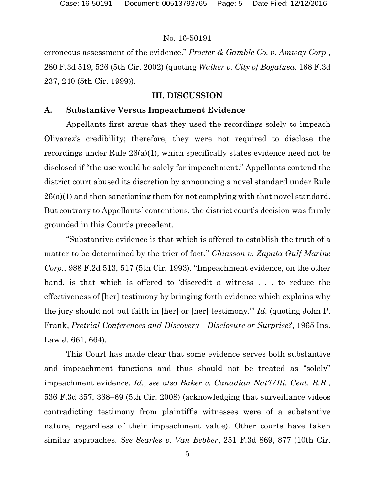erroneous assessment of the evidence." *Procter & Gamble Co. v. Amway Corp.*, 280 F.3d 519, 526 (5th Cir. 2002) (quoting *Walker v. City of Bogalusa,* 168 F.3d 237, 240 (5th Cir. 1999)).

## **III. DISCUSSION**

## **A. Substantive Versus Impeachment Evidence**

Appellants first argue that they used the recordings solely to impeach Olivarez's credibility; therefore, they were not required to disclose the recordings under Rule 26(a)(1), which specifically states evidence need not be disclosed if "the use would be solely for impeachment." Appellants contend the district court abused its discretion by announcing a novel standard under Rule 26(a)(1) and then sanctioning them for not complying with that novel standard. But contrary to Appellants' contentions, the district court's decision was firmly grounded in this Court's precedent.

"Substantive evidence is that which is offered to establish the truth of a matter to be determined by the trier of fact." *Chiasson v. Zapata Gulf Marine Corp.*, 988 F.2d 513, 517 (5th Cir. 1993). "Impeachment evidence, on the other hand, is that which is offered to 'discredit a witness . . . to reduce the effectiveness of [her] testimony by bringing forth evidence which explains why the jury should not put faith in [her] or [her] testimony.'" *Id.* (quoting John P. Frank, *Pretrial Conferences and Discovery—Disclosure or Surprise?*, 1965 Ins. Law J. 661, 664).

This Court has made clear that some evidence serves both substantive and impeachment functions and thus should not be treated as "solely" impeachment evidence. *Id.*; *see also Baker v. Canadian Nat'l/Ill. Cent. R.R.*, 536 F.3d 357, 368–69 (5th Cir. 2008) (acknowledging that surveillance videos contradicting testimony from plaintiff's witnesses were of a substantive nature, regardless of their impeachment value). Other courts have taken similar approaches. *See Searles v. Van Bebber*, 251 F.3d 869, 877 (10th Cir.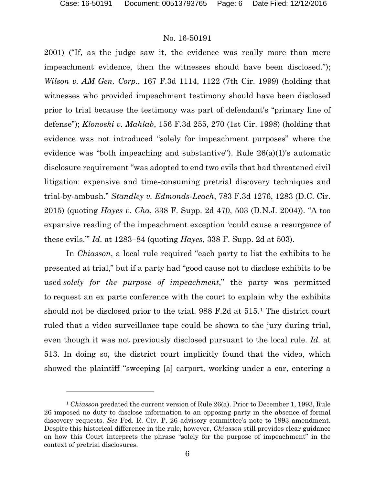$\overline{a}$ 

### No. 16-50191

2001) ("If, as the judge saw it, the evidence was really more than mere impeachment evidence, then the witnesses should have been disclosed."); *Wilson v. AM Gen. Corp.*, 167 F.3d 1114, 1122 (7th Cir. 1999) (holding that witnesses who provided impeachment testimony should have been disclosed prior to trial because the testimony was part of defendant's "primary line of defense"); *Klonoski v. Mahlab*, 156 F.3d 255, 270 (1st Cir. 1998) (holding that evidence was not introduced "solely for impeachment purposes" where the evidence was "both impeaching and substantive"). Rule 26(a)(1)'s automatic disclosure requirement "was adopted to end two evils that had threatened civil litigation: expensive and time-consuming pretrial discovery techniques and trial-by-ambush." *Standley v. Edmonds-Leach*, 783 F.3d 1276, 1283 (D.C. Cir. 2015) (quoting *Hayes v. Cha*, 338 F. Supp. 2d 470, 503 (D.N.J. 2004)). "A too expansive reading of the impeachment exception 'could cause a resurgence of these evils.'" *Id.* at 1283–84 (quoting *Hayes*, 338 F. Supp. 2d at 503).

In *Chiasson*, a local rule required "each party to list the exhibits to be presented at trial," but if a party had "good cause not to disclose exhibits to be used *solely for the purpose of impeachment*," the party was permitted to request an ex parte conference with the court to explain why the exhibits should not be disclosed prior to the trial. 988 F.2d at 515.1 The district court ruled that a video surveillance tape could be shown to the jury during trial, even though it was not previously disclosed pursuant to the local rule. *Id.* at 513. In doing so, the district court implicitly found that the video, which showed the plaintiff "sweeping [a] carport, working under a car, entering a

<sup>&</sup>lt;sup>1</sup> *Chiasson* predated the current version of Rule 26(a). Prior to December 1, 1993, Rule 26 imposed no duty to disclose information to an opposing party in the absence of formal discovery requests. *See* Fed. R. Civ. P. 26 advisory committee's note to 1993 amendment. Despite this historical difference in the rule, however, *Chiasson* still provides clear guidance on how this Court interprets the phrase "solely for the purpose of impeachment" in the context of pretrial disclosures.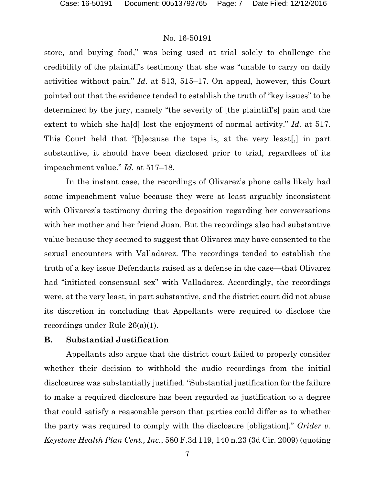store, and buying food," was being used at trial solely to challenge the credibility of the plaintiff's testimony that she was "unable to carry on daily activities without pain." *Id.* at 513, 515–17. On appeal, however, this Court pointed out that the evidence tended to establish the truth of "key issues" to be determined by the jury, namely "the severity of [the plaintiff's] pain and the extent to which she ha[d] lost the enjoyment of normal activity." *Id.* at 517. This Court held that "[b]ecause the tape is, at the very least[,] in part substantive, it should have been disclosed prior to trial, regardless of its impeachment value." *Id.* at 517–18.

In the instant case, the recordings of Olivarez's phone calls likely had some impeachment value because they were at least arguably inconsistent with Olivarez's testimony during the deposition regarding her conversations with her mother and her friend Juan. But the recordings also had substantive value because they seemed to suggest that Olivarez may have consented to the sexual encounters with Valladarez. The recordings tended to establish the truth of a key issue Defendants raised as a defense in the case—that Olivarez had "initiated consensual sex" with Valladarez. Accordingly, the recordings were, at the very least, in part substantive, and the district court did not abuse its discretion in concluding that Appellants were required to disclose the recordings under Rule 26(a)(1).

### **B. Substantial Justification**

Appellants also argue that the district court failed to properly consider whether their decision to withhold the audio recordings from the initial disclosures was substantially justified. "Substantial justification for the failure to make a required disclosure has been regarded as justification to a degree that could satisfy a reasonable person that parties could differ as to whether the party was required to comply with the disclosure [obligation]." *Grider v. Keystone Health Plan Cent., Inc.*, 580 F.3d 119, 140 n.23 (3d Cir. 2009) (quoting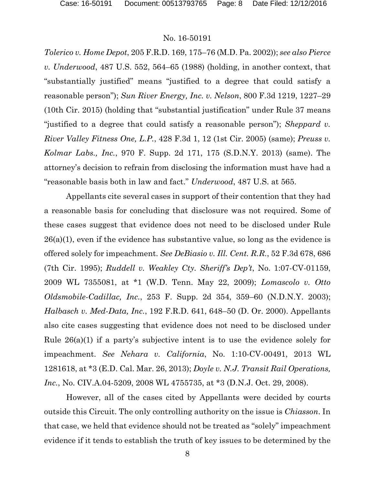*Tolerico v. Home Depot*, 205 F.R.D. 169, 175–76 (M.D. Pa. 2002)); *see also Pierce v. Underwood*, 487 U.S. 552, 564–65 (1988) (holding, in another context, that "substantially justified" means "justified to a degree that could satisfy a reasonable person"); *Sun River Energy, Inc. v. Nelson*, 800 F.3d 1219, 1227–29 (10th Cir. 2015) (holding that "substantial justification" under Rule 37 means "justified to a degree that could satisfy a reasonable person"); *Sheppard v. River Valley Fitness One, L.P.*, 428 F.3d 1, 12 (1st Cir. 2005) (same); *Preuss v. Kolmar Labs., Inc.*, 970 F. Supp. 2d 171, 175 (S.D.N.Y. 2013) (same). The attorney's decision to refrain from disclosing the information must have had a "reasonable basis both in law and fact." *Underwood*, 487 U.S. at 565.

Appellants cite several cases in support of their contention that they had a reasonable basis for concluding that disclosure was not required. Some of these cases suggest that evidence does not need to be disclosed under Rule  $26(a)(1)$ , even if the evidence has substantive value, so long as the evidence is offered solely for impeachment. *See DeBiasio v. Ill. Cent. R.R.*, 52 F.3d 678, 686 (7th Cir. 1995); *Ruddell v. Weakley Cty. Sheriff's Dep't*, No. 1:07-CV-01159, 2009 WL 7355081, at \*1 (W.D. Tenn. May 22, 2009); *Lomascolo v. Otto Oldsmobile-Cadillac, Inc.*, 253 F. Supp. 2d 354, 359–60 (N.D.N.Y. 2003); *Halbasch v. Med-Data, Inc.*, 192 F.R.D. 641, 648–50 (D. Or. 2000). Appellants also cite cases suggesting that evidence does not need to be disclosed under Rule 26(a)(1) if a party's subjective intent is to use the evidence solely for impeachment. *See Nehara v. California*, No. 1:10-CV-00491, 2013 WL 1281618, at \*3 (E.D. Cal. Mar. 26, 2013); *Doyle v. N.J. Transit Rail Operations, Inc.*, No. CIV.A.04-5209, 2008 WL 4755735, at \*3 (D.N.J. Oct. 29, 2008).

However, all of the cases cited by Appellants were decided by courts outside this Circuit. The only controlling authority on the issue is *Chiasson*. In that case, we held that evidence should not be treated as "solely" impeachment evidence if it tends to establish the truth of key issues to be determined by the